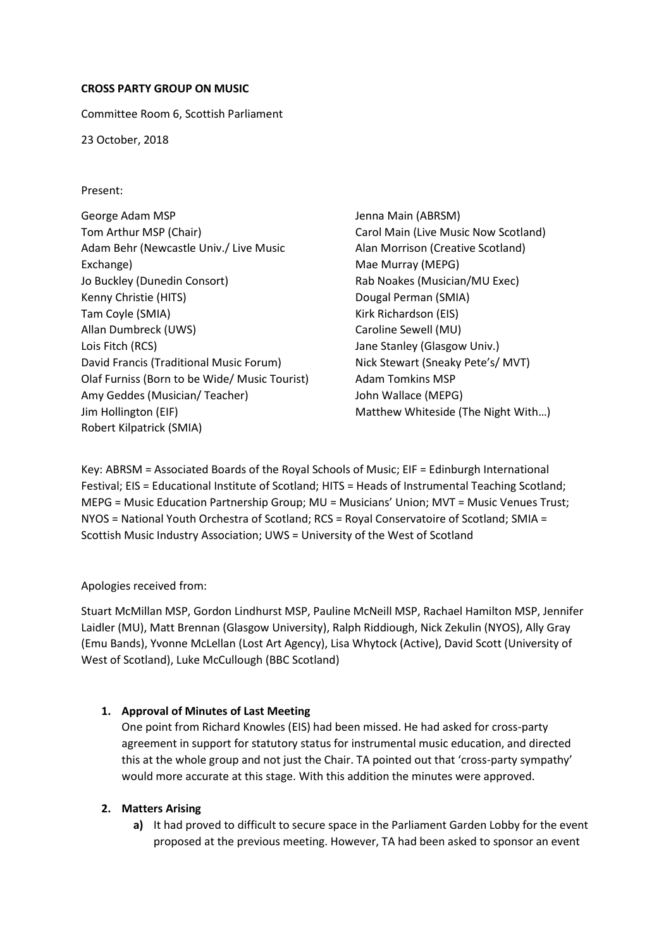## **CROSS PARTY GROUP ON MUSIC**

Committee Room 6, Scottish Parliament

23 October, 2018

## Present:

| George Adam MSP                               |
|-----------------------------------------------|
| Tom Arthur MSP (Chair)                        |
| Adam Behr (Newcastle Univ./ Live Music        |
| Exchange)                                     |
| Jo Buckley (Dunedin Consort)                  |
| Kenny Christie (HITS)                         |
| Tam Coyle (SMIA)                              |
| Allan Dumbreck (UWS)                          |
| Lois Fitch (RCS)                              |
| David Francis (Traditional Music Forum)       |
| Olaf Furniss (Born to be Wide/ Music Tourist) |
| Amy Geddes (Musician/Teacher)                 |
| Jim Hollington (EIF)                          |
| Robert Kilpatrick (SMIA)                      |

Jenna Main (ABRSM) Carol Main (Live Music Now Scotland) Alan Morrison (Creative Scotland) Mae Murray (MEPG) Rab Noakes (Musician/MU Exec) Dougal Perman (SMIA) Kirk Richardson (EIS) Caroline Sewell (MU) Jane Stanley (Glasgow Univ.) Nick Stewart (Sneaky Pete's/ MVT) Adam Tomkins MSP John Wallace (MEPG) Matthew Whiteside (The Night With…)

Key: ABRSM = Associated Boards of the Royal Schools of Music; EIF = Edinburgh International Festival; EIS = Educational Institute of Scotland; HITS = Heads of Instrumental Teaching Scotland; MEPG = Music Education Partnership Group; MU = Musicians' Union; MVT = Music Venues Trust; NYOS = National Youth Orchestra of Scotland; RCS = Royal Conservatoire of Scotland; SMIA = Scottish Music Industry Association; UWS = University of the West of Scotland

## Apologies received from:

Stuart McMillan MSP, Gordon Lindhurst MSP, Pauline McNeill MSP, Rachael Hamilton MSP, Jennifer Laidler (MU), Matt Brennan (Glasgow University), Ralph Riddiough, Nick Zekulin (NYOS), Ally Gray (Emu Bands), Yvonne McLellan (Lost Art Agency), Lisa Whytock (Active), David Scott (University of West of Scotland), Luke McCullough (BBC Scotland)

## **1. Approval of Minutes of Last Meeting**

One point from Richard Knowles (EIS) had been missed. He had asked for cross-party agreement in support for statutory status for instrumental music education, and directed this at the whole group and not just the Chair. TA pointed out that 'cross-party sympathy' would more accurate at this stage. With this addition the minutes were approved.

## **2. Matters Arising**

**a)** It had proved to difficult to secure space in the Parliament Garden Lobby for the event proposed at the previous meeting. However, TA had been asked to sponsor an event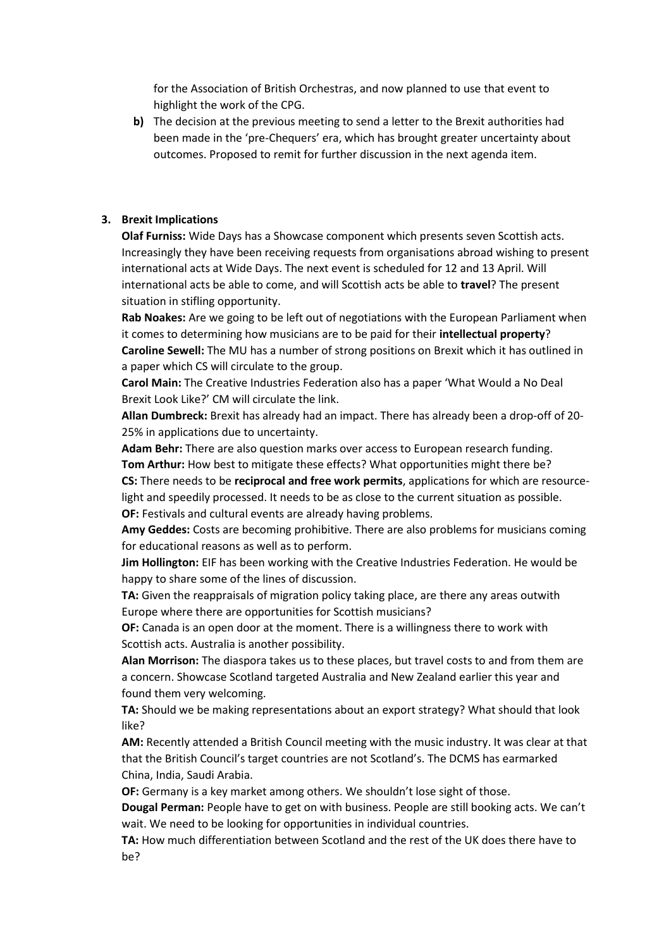for the Association of British Orchestras, and now planned to use that event to highlight the work of the CPG.

**b)** The decision at the previous meeting to send a letter to the Brexit authorities had been made in the 'pre-Chequers' era, which has brought greater uncertainty about outcomes. Proposed to remit for further discussion in the next agenda item.

#### **3. Brexit Implications**

**Olaf Furniss:** Wide Days has a Showcase component which presents seven Scottish acts. Increasingly they have been receiving requests from organisations abroad wishing to present international acts at Wide Days. The next event is scheduled for 12 and 13 April. Will international acts be able to come, and will Scottish acts be able to **travel**? The present situation in stifling opportunity.

**Rab Noakes:** Are we going to be left out of negotiations with the European Parliament when it comes to determining how musicians are to be paid for their **intellectual property**? **Caroline Sewell:** The MU has a number of strong positions on Brexit which it has outlined in a paper which CS will circulate to the group.

**Carol Main:** The Creative Industries Federation also has a paper 'What Would a No Deal Brexit Look Like?' CM will circulate the link.

**Allan Dumbreck:** Brexit has already had an impact. There has already been a drop-off of 20- 25% in applications due to uncertainty.

**Adam Behr:** There are also question marks over access to European research funding. **Tom Arthur:** How best to mitigate these effects? What opportunities might there be? **CS:** There needs to be **reciprocal and free work permits**, applications for which are resourcelight and speedily processed. It needs to be as close to the current situation as possible.

**OF:** Festivals and cultural events are already having problems.

**Amy Geddes:** Costs are becoming prohibitive. There are also problems for musicians coming for educational reasons as well as to perform.

**Jim Hollington:** EIF has been working with the Creative Industries Federation. He would be happy to share some of the lines of discussion.

**TA:** Given the reappraisals of migration policy taking place, are there any areas outwith Europe where there are opportunities for Scottish musicians?

**OF:** Canada is an open door at the moment. There is a willingness there to work with Scottish acts. Australia is another possibility.

**Alan Morrison:** The diaspora takes us to these places, but travel costs to and from them are a concern. Showcase Scotland targeted Australia and New Zealand earlier this year and found them very welcoming.

**TA:** Should we be making representations about an export strategy? What should that look like?

**AM:** Recently attended a British Council meeting with the music industry. It was clear at that that the British Council's target countries are not Scotland's. The DCMS has earmarked China, India, Saudi Arabia.

**OF:** Germany is a key market among others. We shouldn't lose sight of those.

**Dougal Perman:** People have to get on with business. People are still booking acts. We can't wait. We need to be looking for opportunities in individual countries.

**TA:** How much differentiation between Scotland and the rest of the UK does there have to be?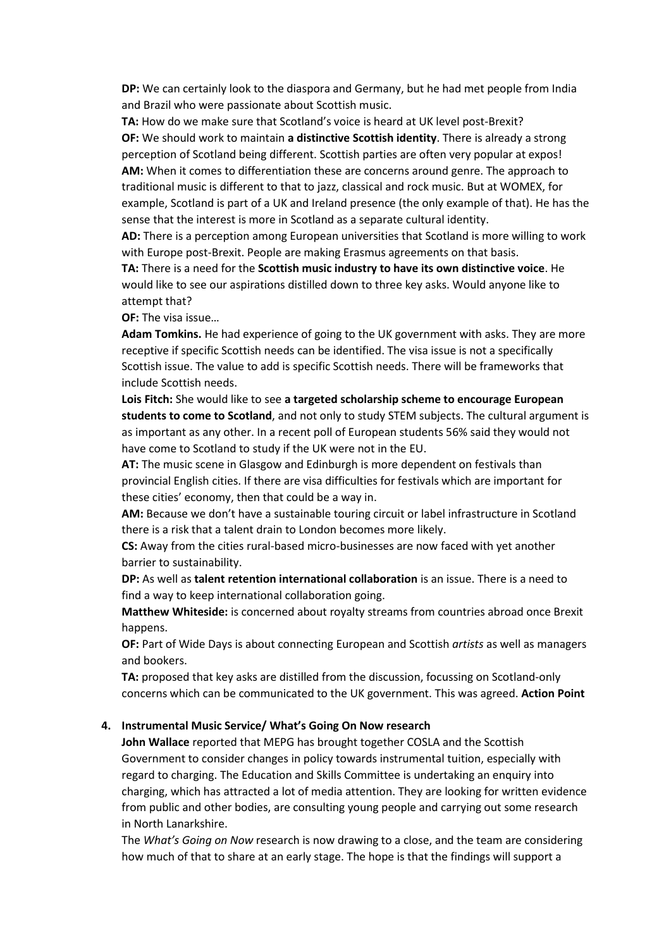**DP:** We can certainly look to the diaspora and Germany, but he had met people from India and Brazil who were passionate about Scottish music.

**TA:** How do we make sure that Scotland's voice is heard at UK level post-Brexit? **OF:** We should work to maintain **a distinctive Scottish identity**. There is already a strong perception of Scotland being different. Scottish parties are often very popular at expos! **AM:** When it comes to differentiation these are concerns around genre. The approach to traditional music is different to that to jazz, classical and rock music. But at WOMEX, for example, Scotland is part of a UK and Ireland presence (the only example of that). He has the sense that the interest is more in Scotland as a separate cultural identity.

**AD:** There is a perception among European universities that Scotland is more willing to work with Europe post-Brexit. People are making Erasmus agreements on that basis.

**TA:** There is a need for the **Scottish music industry to have its own distinctive voice**. He would like to see our aspirations distilled down to three key asks. Would anyone like to attempt that?

**OF:** The visa issue…

**Adam Tomkins.** He had experience of going to the UK government with asks. They are more receptive if specific Scottish needs can be identified. The visa issue is not a specifically Scottish issue. The value to add is specific Scottish needs. There will be frameworks that include Scottish needs.

**Lois Fitch:** She would like to see **a targeted scholarship scheme to encourage European students to come to Scotland**, and not only to study STEM subjects. The cultural argument is as important as any other. In a recent poll of European students 56% said they would not have come to Scotland to study if the UK were not in the EU.

**AT:** The music scene in Glasgow and Edinburgh is more dependent on festivals than provincial English cities. If there are visa difficulties for festivals which are important for these cities' economy, then that could be a way in.

**AM:** Because we don't have a sustainable touring circuit or label infrastructure in Scotland there is a risk that a talent drain to London becomes more likely.

**CS:** Away from the cities rural-based micro-businesses are now faced with yet another barrier to sustainability.

**DP:** As well as **talent retention international collaboration** is an issue. There is a need to find a way to keep international collaboration going.

**Matthew Whiteside:** is concerned about royalty streams from countries abroad once Brexit happens.

**OF:** Part of Wide Days is about connecting European and Scottish *artists* as well as managers and bookers.

TA: proposed that key asks are distilled from the discussion, focussing on Scotland-only concerns which can be communicated to the UK government. This was agreed. **Action Point**

### **4. Instrumental Music Service/ What's Going On Now research**

**John Wallace** reported that MEPG has brought together COSLA and the Scottish Government to consider changes in policy towards instrumental tuition, especially with regard to charging. The Education and Skills Committee is undertaking an enquiry into charging, which has attracted a lot of media attention. They are looking for written evidence from public and other bodies, are consulting young people and carrying out some research in North Lanarkshire.

The *What's Going on Now* research is now drawing to a close, and the team are considering how much of that to share at an early stage. The hope is that the findings will support a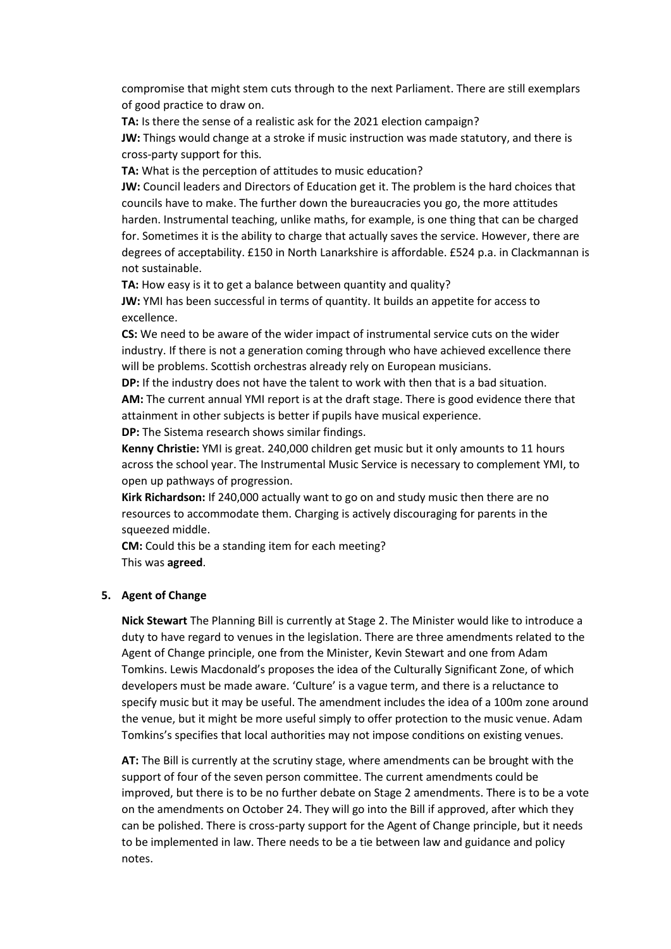compromise that might stem cuts through to the next Parliament. There are still exemplars of good practice to draw on.

**TA:** Is there the sense of a realistic ask for the 2021 election campaign?

**JW:** Things would change at a stroke if music instruction was made statutory, and there is cross-party support for this.

**TA:** What is the perception of attitudes to music education?

**JW:** Council leaders and Directors of Education get it. The problem is the hard choices that councils have to make. The further down the bureaucracies you go, the more attitudes harden. Instrumental teaching, unlike maths, for example, is one thing that can be charged for. Sometimes it is the ability to charge that actually saves the service. However, there are degrees of acceptability. £150 in North Lanarkshire is affordable. £524 p.a. in Clackmannan is not sustainable.

**TA:** How easy is it to get a balance between quantity and quality?

**JW:** YMI has been successful in terms of quantity. It builds an appetite for access to excellence.

**CS:** We need to be aware of the wider impact of instrumental service cuts on the wider industry. If there is not a generation coming through who have achieved excellence there will be problems. Scottish orchestras already rely on European musicians.

**DP:** If the industry does not have the talent to work with then that is a bad situation. **AM:** The current annual YMI report is at the draft stage. There is good evidence there that attainment in other subjects is better if pupils have musical experience. **DP:** The Sistema research shows similar findings.

**Kenny Christie:** YMI is great. 240,000 children get music but it only amounts to 11 hours across the school year. The Instrumental Music Service is necessary to complement YMI, to open up pathways of progression.

**Kirk Richardson:** If 240,000 actually want to go on and study music then there are no resources to accommodate them. Charging is actively discouraging for parents in the squeezed middle.

**CM:** Could this be a standing item for each meeting? This was **agreed**.

## **5. Agent of Change**

**Nick Stewart** The Planning Bill is currently at Stage 2. The Minister would like to introduce a duty to have regard to venues in the legislation. There are three amendments related to the Agent of Change principle, one from the Minister, Kevin Stewart and one from Adam Tomkins. Lewis Macdonald's proposes the idea of the Culturally Significant Zone, of which developers must be made aware. 'Culture' is a vague term, and there is a reluctance to specify music but it may be useful. The amendment includes the idea of a 100m zone around the venue, but it might be more useful simply to offer protection to the music venue. Adam Tomkins's specifies that local authorities may not impose conditions on existing venues.

**AT:** The Bill is currently at the scrutiny stage, where amendments can be brought with the support of four of the seven person committee. The current amendments could be improved, but there is to be no further debate on Stage 2 amendments. There is to be a vote on the amendments on October 24. They will go into the Bill if approved, after which they can be polished. There is cross-party support for the Agent of Change principle, but it needs to be implemented in law. There needs to be a tie between law and guidance and policy notes.